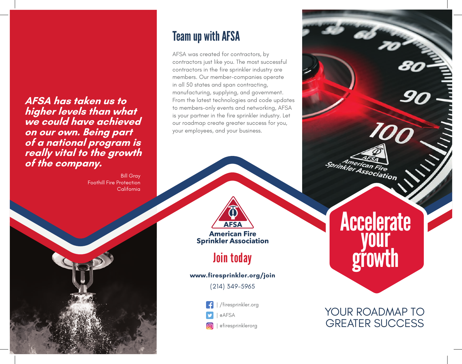**AFSA has taken us to higher levels than what we could have achieved on our own. Being part of a national program is really vital to the growth of the company.**

> Bill Gray Foothill Fire Protection California



AFSA was created for contractors, by contractors just like you. The most successful contractors in the fire sprinkler industry are members. Our member-companies operate in all 50 states and span contracting, manufacturing, supplying, and government. From the latest technologies and code updates to members-only events and networking, AFSA is your partner in the fire sprinkler industry. Let our roadmap create greater success for you, your employees, and your business.



**American Fire Sprinkler Association** 

### Join today

#### **www.firesprinkler.org/join**

(214) 349-5965

| /firesprinkler.org



| @firesprinklerorg

**Accelerate** your growth

American Fire<br>inkler Association

YOUR ROADMAP TO GREATER SUCCESS